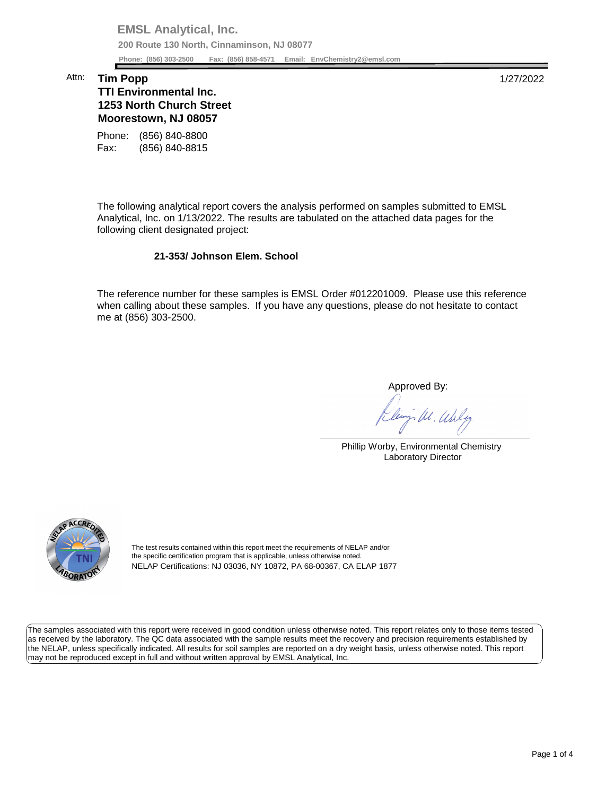**EMSL Analytical, Inc. 200 Route 130 North, Cinnaminson, NJ 08077 Phone: (856) 303-2500 Fax: (856) 858-4571 Email: [EnvChemistry2@emsl.com](mailto:EnvChemistry2@emsl.com)**  Phone: (856) 303-2500

## Attn: **Tim Popp** 1/27/2022

## **Moorestown, NJ 08057 TTI Environmental Inc. 1253 North Church Street**

Phone: (856) 840-8800 Fax: (856) 840-8815

 The following analytical report covers the analysis performed on samples submitted to EMSL Analytical, Inc. on 1/13/2022. The results are tabulated on the attached data pages for the following client designated project:

## **21-353/ Johnson Elem. School**

 The reference number for these samples is EMSL Order #012201009. Please use this reference when calling about these samples. If you have any questions, please do not hesitate to contact me at (856) 303-2500.

Approved By:

W. Whly

Phillip Worby, Environmental Chemistry Laboratory Director



The test results contained within this report meet the requirements of NELAP and/or the specific certification program that is applicable, unless otherwise noted. NELAP Certifications: NJ 03036, NY 10872, PA 68-00367, CA ELAP 1877

 The samples associated with this report were received in good condition unless otherwise noted. This report relates only to those items tested as received by the laboratory. The QC data associated with the sample results meet the recovery and precision requirements established by the NELAP, unless specifically indicated. All results for soil samples are reported on a dry weight basis, unless otherwise noted. This report may not be reproduced except in full and without written approval by EMSL Analytical, Inc.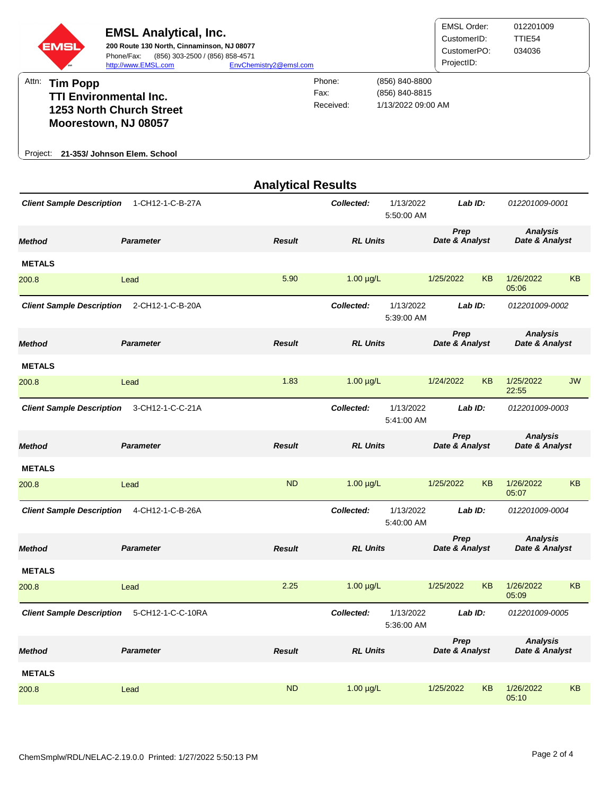

|                                                       |                  | <b>Analytical Results</b> |                                       |                         |                        |           |                                   |    |
|-------------------------------------------------------|------------------|---------------------------|---------------------------------------|-------------------------|------------------------|-----------|-----------------------------------|----|
| <b>Client Sample Description</b><br>1-CH12-1-C-B-27A  |                  |                           | Collected:<br>1/13/2022<br>5:50:00 AM |                         | Lab ID:                |           | 012201009-0001                    |    |
| <b>Method</b>                                         | <b>Parameter</b> | <b>Result</b>             | <b>RL Units</b>                       |                         | Prep<br>Date & Analyst |           | <b>Analysis</b><br>Date & Analyst |    |
| <b>METALS</b>                                         |                  |                           |                                       |                         |                        |           |                                   |    |
| 200.8                                                 | Lead             | 5.90                      | $1.00 \mu g/L$                        |                         | 1/25/2022              | KB        | 1/26/2022<br>05:06                | KB |
| <b>Client Sample Description</b>                      | 2-CH12-1-C-B-20A |                           | Collected:                            | 1/13/2022<br>5:39:00 AM | Lab ID:                |           | 012201009-0002                    |    |
| <b>Method</b>                                         | <b>Parameter</b> | <b>Result</b>             | <b>RL Units</b>                       |                         | Prep<br>Date & Analyst |           | <b>Analysis</b><br>Date & Analyst |    |
| <b>METALS</b>                                         |                  |                           |                                       |                         |                        |           |                                   |    |
| 200.8                                                 | Lead             | 1.83                      | $1.00 \mu g/L$                        |                         | 1/24/2022              | <b>KB</b> | 1/25/2022<br>22:55                | JW |
| 3-CH12-1-C-C-21A<br><b>Client Sample Description</b>  |                  |                           | Collected:<br>1/13/2022<br>5:41:00 AM |                         | Lab ID:                |           | 012201009-0003                    |    |
| <b>Method</b>                                         | <b>Parameter</b> | <b>Result</b>             | <b>RL Units</b>                       |                         | Prep<br>Date & Analyst |           | <b>Analysis</b><br>Date & Analyst |    |
| <b>METALS</b>                                         |                  |                           |                                       |                         |                        |           |                                   |    |
| 200.8                                                 | Lead             | <b>ND</b>                 | $1.00 \mu g/L$                        |                         | 1/25/2022              | <b>KB</b> | 1/26/2022<br>05:07                | KB |
| <b>Client Sample Description</b>                      | 4-CH12-1-C-B-26A |                           | Collected:                            | 1/13/2022<br>5:40:00 AM | Lab ID:                |           | 012201009-0004                    |    |
| <b>Method</b>                                         | <b>Parameter</b> | <b>Result</b>             | <b>RL Units</b>                       |                         | Prep<br>Date & Analyst |           | <b>Analysis</b><br>Date & Analyst |    |
| <b>METALS</b>                                         |                  |                           |                                       |                         |                        |           |                                   |    |
| 200.8                                                 | Lead             | 2.25                      | $1.00 \mu g/L$                        |                         | 1/25/2022              | KB        | 1/26/2022<br>05:09                | KB |
| 5-CH12-1-C-C-10RA<br><b>Client Sample Description</b> |                  |                           | Collected:                            | 1/13/2022<br>5:36:00 AM | Lab ID:                |           | 012201009-0005                    |    |
| <b>Method</b>                                         | <b>Parameter</b> | <b>Result</b>             | <b>RL Units</b>                       |                         | Prep<br>Date & Analyst |           | <b>Analysis</b><br>Date & Analyst |    |
| <b>METALS</b>                                         |                  |                           |                                       |                         |                        |           |                                   |    |
| 200.8                                                 | Lead             | <b>ND</b>                 | $1.00 \mu g/L$                        |                         | 1/25/2022              | KB        | 1/26/2022<br>05:10                | KB |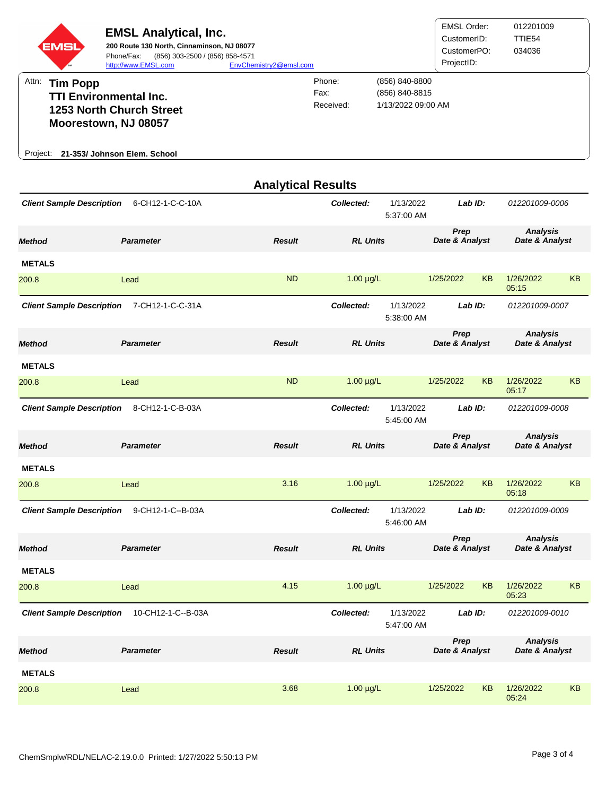

|                                                        |                   | <b>Analytical Results</b> |                                       |                         |                        |           |                                   |                |  |
|--------------------------------------------------------|-------------------|---------------------------|---------------------------------------|-------------------------|------------------------|-----------|-----------------------------------|----------------|--|
| <b>Client Sample Description</b><br>6-CH12-1-C-C-10A   |                   |                           | Collected:                            | 1/13/2022<br>5:37:00 AM |                        | Lab ID:   |                                   | 012201009-0006 |  |
| <b>Method</b>                                          | <b>Parameter</b>  | <b>Result</b>             | <b>RL Units</b>                       |                         | Prep<br>Date & Analyst |           | <b>Analysis</b><br>Date & Analyst |                |  |
| <b>METALS</b>                                          |                   |                           |                                       |                         |                        |           |                                   |                |  |
| 200.8                                                  | Lead              | <b>ND</b>                 | $1.00 \mu g/L$                        |                         | 1/25/2022              | <b>KB</b> | 1/26/2022<br>05:15                | <b>KB</b>      |  |
| <b>Client Sample Description</b>                       | 7-CH12-1-C-C-31A  |                           | Collected:                            | 1/13/2022<br>5:38:00 AM | Lab ID:                |           | 012201009-0007                    |                |  |
| <b>Method</b>                                          | <b>Parameter</b>  | <b>Result</b>             | <b>RL Units</b>                       |                         | Prep<br>Date & Analyst |           | <b>Analysis</b><br>Date & Analyst |                |  |
| <b>METALS</b>                                          |                   |                           |                                       |                         |                        |           |                                   |                |  |
| 200.8                                                  | Lead              | <b>ND</b>                 | $1.00 \mu g/L$                        |                         | 1/25/2022              | <b>KB</b> | 1/26/2022<br>05:17                | KB             |  |
| <b>Client Sample Description</b>                       | 8-CH12-1-C-B-03A  |                           | Collected:                            | 1/13/2022<br>5:45:00 AM | Lab ID:                |           | 012201009-0008                    |                |  |
| <b>Method</b>                                          | <b>Parameter</b>  | <b>Result</b>             | <b>RL Units</b>                       |                         | Prep<br>Date & Analyst |           | <b>Analysis</b><br>Date & Analyst |                |  |
| <b>METALS</b>                                          |                   |                           |                                       |                         |                        |           |                                   |                |  |
| 200.8                                                  | Lead              | 3.16                      | $1.00 \mu g/L$                        |                         | 1/25/2022              | <b>KB</b> | 1/26/2022<br>05:18                | KB             |  |
| <b>Client Sample Description</b>                       | 9-CH12-1-C--B-03A |                           | Collected:                            | 1/13/2022<br>5:46:00 AM | Lab ID:                |           | 012201009-0009                    |                |  |
| <b>Method</b>                                          | <b>Parameter</b>  | <b>Result</b>             | <b>RL Units</b>                       |                         | Prep<br>Date & Analyst |           | <b>Analysis</b><br>Date & Analyst |                |  |
| <b>METALS</b>                                          |                   |                           |                                       |                         |                        |           |                                   |                |  |
| 200.8                                                  | Lead              | 4.15                      | $1.00 \mu g/L$                        |                         | 1/25/2022              | <b>KB</b> | 1/26/2022<br>05:23                | KB             |  |
| 10-CH12-1-C--B-03A<br><b>Client Sample Description</b> |                   |                           | 1/13/2022<br>Collected:<br>5:47:00 AM |                         | Lab ID:                |           | 012201009-0010                    |                |  |
| <b>Method</b>                                          | <b>Parameter</b>  | <b>Result</b>             | <b>RL Units</b>                       |                         | Prep<br>Date & Analyst |           | <b>Analysis</b><br>Date & Analyst |                |  |
| <b>METALS</b>                                          |                   |                           |                                       |                         |                        |           |                                   |                |  |
| 200.8                                                  | Lead              | 3.68                      | $1.00 \mu g/L$                        |                         | 1/25/2022              | KB        | 1/26/2022<br>05:24                | KB             |  |